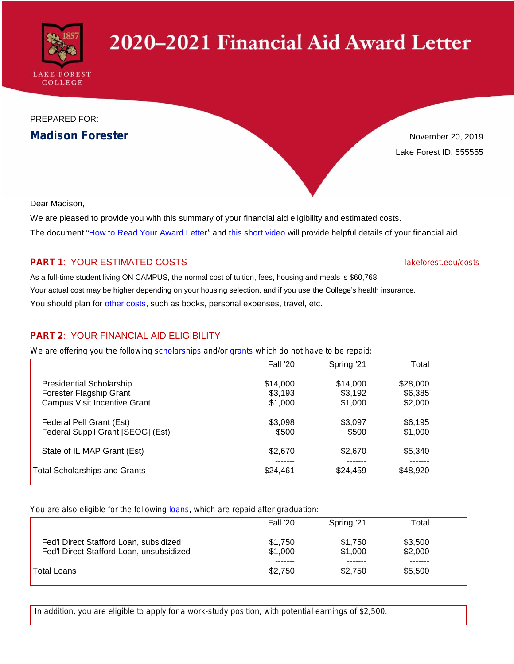

# 2020-2021 Financial Aid Award Letter

PREPARED FOR:

**Madison Forester** November 20, 2019

Lake Forest ID: 555555

Dear Madison,

We are pleased to provide you with this summary of your financial aid eligibility and estimated costs. The document "How to Read Your Award Letter*"* and this short video will provide helpful details of your financial aid.

# **PART 1**: YOUR ESTIMATED COSTS *lakeforest.edu/costs*

As a full-time student living ON CAMPUS, the normal cost of tuition, fees, housing and meals is \$60,768. Your actual cost may be higher depending on your housing selection, and if you use the College's health insurance. You should plan for other costs, such as books, personal expenses, travel, etc.

# **PART 2**: YOUR FINANCIAL AID ELIGIBILITY

*We are offering you the following scholarships and/or grants which do not have to be repaid:*

|                                      | Fall '20 | Spring '21 | Total    |  |
|--------------------------------------|----------|------------|----------|--|
| <b>Presidential Scholarship</b>      | \$14,000 | \$14,000   | \$28,000 |  |
| Forester Flagship Grant              | \$3,193  | \$3,192    | \$6,385  |  |
| <b>Campus Visit Incentive Grant</b>  | \$1,000  | \$1,000    | \$2,000  |  |
| Federal Pell Grant (Est)             | \$3,098  | \$3,097    | \$6,195  |  |
| Federal Supp'l Grant [SEOG] (Est)    | \$500    | \$500      | \$1,000  |  |
| State of IL MAP Grant (Est)          | \$2.670  | \$2,670    | \$5,340  |  |
| <b>Total Scholarships and Grants</b> | \$24,461 | \$24,459   | \$48,920 |  |
|                                      |          |            |          |  |

*You are also eligible for the following loans, which are repaid after graduation:*

|                                                                                    | Fall '20           | Spring '21         | Total              |  |
|------------------------------------------------------------------------------------|--------------------|--------------------|--------------------|--|
| Fed'l Direct Stafford Loan, subsidized<br>Fed'l Direct Stafford Loan, unsubsidized | \$1.750<br>\$1,000 | \$1.750<br>\$1,000 | \$3,500<br>\$2,000 |  |
| Total Loans                                                                        | -------<br>\$2,750 | .<br>\$2.750       | -------<br>\$5,500 |  |

*In addition, you are eligible to apply for a work-study position, with potential earnings of \$2,500.*